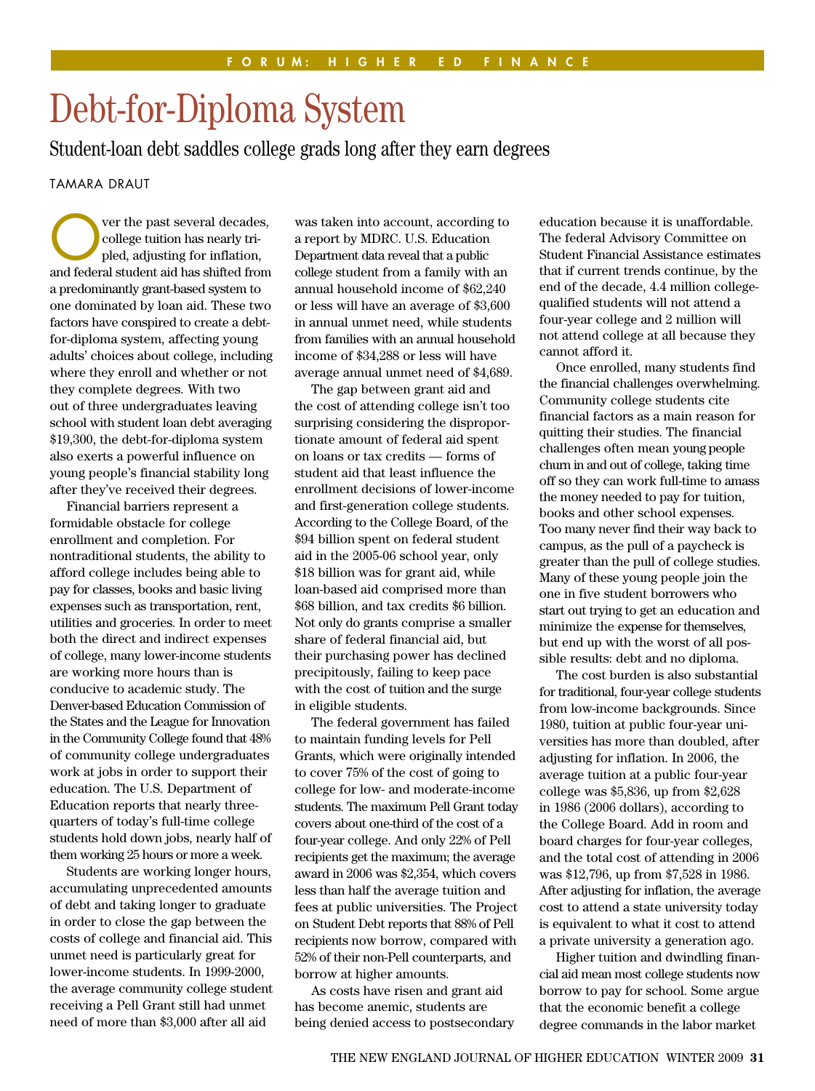## Debt-for-Diploma System

Student-loan debt saddles college grads long after they earn degrees

TAMARA DRAUT

ver the past several decades, college tuition has nearly tripled, adjusting for inflation, and federal student aid has shifted from a predominantly grant-based system to one dominated by loan aid. These two factors have conspired to create a debtfor-diploma system, affecting young adults' choices about college, including where they enroll and whether or not they complete degrees. With two out of three undergraduates leaving school with student loan debt averaging \$19,300, the debt-for-diploma system also exerts a powerful influence on young people's financial stability long after they've received their degrees.

Financial barriers represent a formidable obstacle for college enrollment and completion. For nontraditional students, the ability to afford college includes being able to pay for classes, books and basic living expenses such as transportation, rent, utilities and groceries. In order to meet both the direct and indirect expenses of college, many lower-income students are working more hours than is conducive to academic study. The Denver-based Education Commission of the States and the League for Innovation in the Community College found that 48% of community college undergraduates work at jobs in order to support their education. The U.S. Department of Education reports that nearly threequarters of today's full-time college students hold down jobs, nearly half of them working 25 hours or more a week.

Students are working longer hours, accumulating unprecedented amounts of debt and taking longer to graduate in order to close the gap between the costs of college and financial aid. This unmet need is particularly great for lower-income students. In 1999-2000, the average community college student receiving a Pell Grant still had unmet need of more than \$3,000 after all aid

was taken into account, according to a report by MDRC. U.S. Education Department data reveal that a public college student from a family with an annual household income of \$62,240 or less will have an average of \$3,600 in annual unmet need, while students from families with an annual household income of \$34,288 or less will have average annual unmet need of \$4,689.

The gap between grant aid and the cost of attending college isn't too surprising considering the disproportionate amount of federal aid spent on loans or tax credits — forms of student aid that least influence the enrollment decisions of lower-income and first-generation college students. According to the College Board, of the \$94 billion spent on federal student aid in the 2005-06 school year, only \$18 billion was for grant aid, while loan-based aid comprised more than \$68 billion, and tax credits \$6 billion. Not only do grants comprise a smaller share of federal financial aid, but their purchasing power has declined precipitously, failing to keep pace with the cost of tuition and the surge in eligible students.

The federal government has failed to maintain funding levels for Pell Grants, which were originally intended to cover 75% of the cost of going to college for low- and moderate-income students. The maximum Pell Grant today covers about one-third of the cost of a four-year college. And only 22% of Pell recipients get the maximum; the average award in 2006 was \$2,354, which covers less than half the average tuition and fees at public universities. The Project on Student Debt reports that 88% of Pell recipients now borrow, compared with 52% of their non-Pell counterparts, and borrow at higher amounts.

As costs have risen and grant aid has become anemic, students are being denied access to postsecondary

education because it is unaffordable. The federal Advisory Committee on Student Financial Assistance estimates that if current trends continue, by the end of the decade, 4.4 million collegequalified students will not attend a four-year college and 2 million will not attend college at all because they cannot afford it.

Once enrolled, many students find the financial challenges overwhelming. Community college students cite financial factors as a main reason for quitting their studies. The financial challenges often mean young people churn in and out of college, taking time off so they can work full-time to amass the money needed to pay for tuition, books and other school expenses. Too many never find their way back to campus, as the pull of a paycheck is greater than the pull of college studies. Many of these young people join the one in five student borrowers who start out trying to get an education and minimize the expense for themselves, but end up with the worst of all possible results: debt and no diploma.

The cost burden is also substantial for traditional, four-year college students from low-income backgrounds. Since 1980, tuition at public four-year universities has more than doubled, after adjusting for inflation. In 2006, the average tuition at a public four-year college was \$5,836, up from \$2,628 in 1986 (2006 dollars), according to the College Board. Add in room and board charges for four-year colleges, and the total cost of attending in 2006 was \$12,796, up from \$7,528 in 1986. After adjusting for inflation, the average cost to attend a state university today is equivalent to what it cost to attend a private university a generation ago.

Higher tuition and dwindling financial aid mean most college students now borrow to pay for school. Some argue that the economic benefit a college degree commands in the labor market